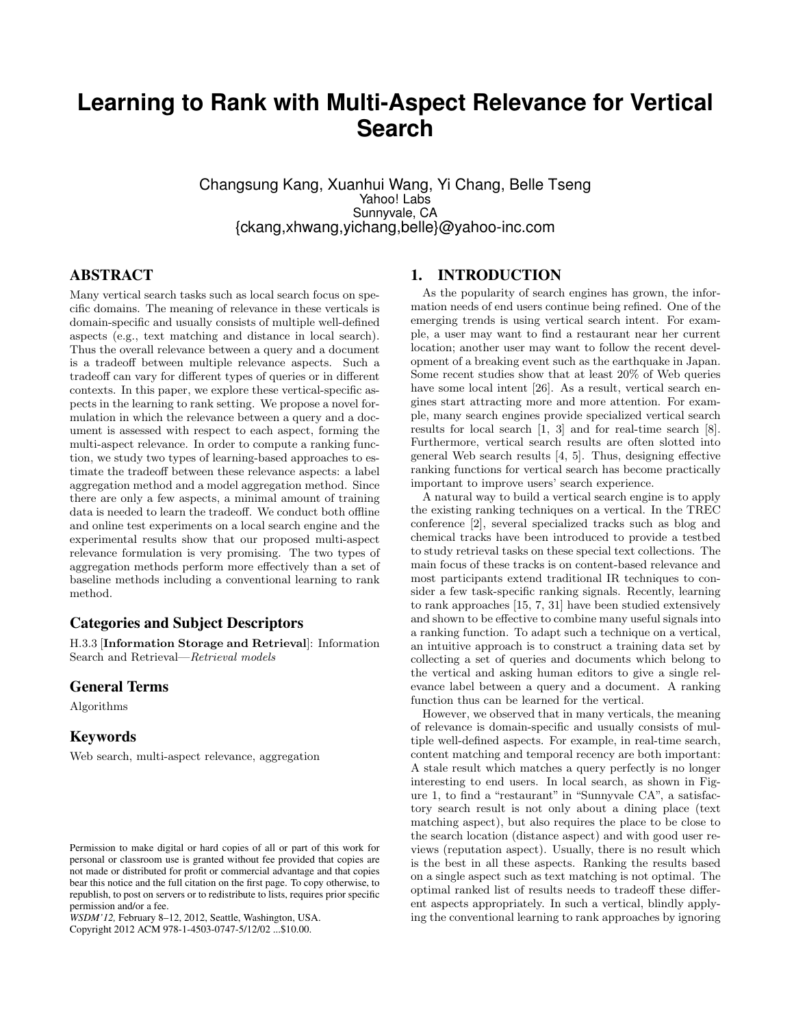# **Learning to Rank with Multi-Aspect Relevance for Vertical Search**

Changsung Kang, Xuanhui Wang, Yi Chang, Belle Tseng Yahoo! Labs Sunnyvale, CA {ckang,xhwang,yichang,belle}@yahoo-inc.com

# ABSTRACT

Many vertical search tasks such as local search focus on specific domains. The meaning of relevance in these verticals is domain-specific and usually consists of multiple well-defined aspects (e.g., text matching and distance in local search). Thus the overall relevance between a query and a document is a tradeoff between multiple relevance aspects. Such a tradeoff can vary for different types of queries or in different contexts. In this paper, we explore these vertical-specific aspects in the learning to rank setting. We propose a novel formulation in which the relevance between a query and a document is assessed with respect to each aspect, forming the multi-aspect relevance. In order to compute a ranking function, we study two types of learning-based approaches to estimate the tradeoff between these relevance aspects: a label aggregation method and a model aggregation method. Since there are only a few aspects, a minimal amount of training data is needed to learn the tradeoff. We conduct both offline and online test experiments on a local search engine and the experimental results show that our proposed multi-aspect relevance formulation is very promising. The two types of aggregation methods perform more effectively than a set of baseline methods including a conventional learning to rank method.

# Categories and Subject Descriptors

H.3.3 [Information Storage and Retrieval]: Information Search and Retrieval—Retrieval models

## General Terms

Algorithms

# **Keywords**

Web search, multi-aspect relevance, aggregation

Copyright 2012 ACM 978-1-4503-0747-5/12/02 ...\$10.00.

# 1. INTRODUCTION

As the popularity of search engines has grown, the information needs of end users continue being refined. One of the emerging trends is using vertical search intent. For example, a user may want to find a restaurant near her current location; another user may want to follow the recent development of a breaking event such as the earthquake in Japan. Some recent studies show that at least 20% of Web queries have some local intent [26]. As a result, vertical search engines start attracting more and more attention. For example, many search engines provide specialized vertical search results for local search [1, 3] and for real-time search [8]. Furthermore, vertical search results are often slotted into general Web search results [4, 5]. Thus, designing effective ranking functions for vertical search has become practically important to improve users' search experience.

A natural way to build a vertical search engine is to apply the existing ranking techniques on a vertical. In the TREC conference [2], several specialized tracks such as blog and chemical tracks have been introduced to provide a testbed to study retrieval tasks on these special text collections. The main focus of these tracks is on content-based relevance and most participants extend traditional IR techniques to consider a few task-specific ranking signals. Recently, learning to rank approaches [15, 7, 31] have been studied extensively and shown to be effective to combine many useful signals into a ranking function. To adapt such a technique on a vertical, an intuitive approach is to construct a training data set by collecting a set of queries and documents which belong to the vertical and asking human editors to give a single relevance label between a query and a document. A ranking function thus can be learned for the vertical.

However, we observed that in many verticals, the meaning of relevance is domain-specific and usually consists of multiple well-defined aspects. For example, in real-time search, content matching and temporal recency are both important: A stale result which matches a query perfectly is no longer interesting to end users. In local search, as shown in Figure 1, to find a "restaurant" in "Sunnyvale CA", a satisfactory search result is not only about a dining place (text matching aspect), but also requires the place to be close to the search location (distance aspect) and with good user reviews (reputation aspect). Usually, there is no result which is the best in all these aspects. Ranking the results based on a single aspect such as text matching is not optimal. The optimal ranked list of results needs to tradeoff these different aspects appropriately. In such a vertical, blindly applying the conventional learning to rank approaches by ignoring

Permission to make digital or hard copies of all or part of this work for personal or classroom use is granted without fee provided that copies are not made or distributed for profit or commercial advantage and that copies bear this notice and the full citation on the first page. To copy otherwise, to republish, to post on servers or to redistribute to lists, requires prior specific permission and/or a fee.

*WSDM'12,* February 8–12, 2012, Seattle, Washington, USA.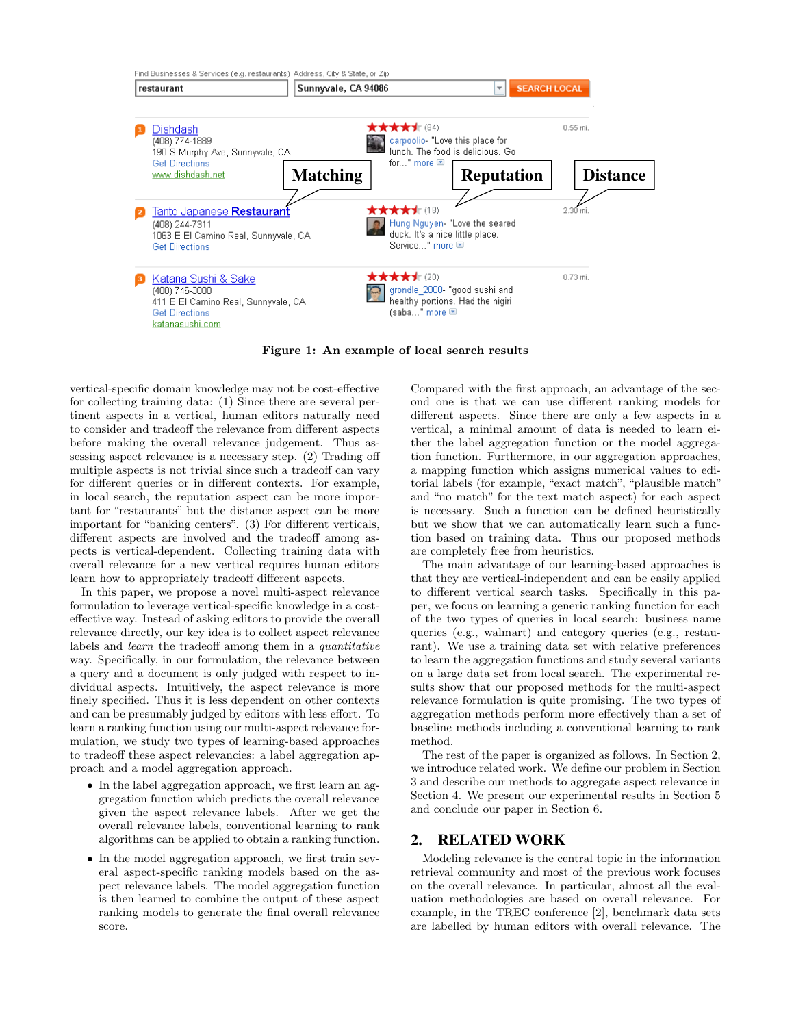

Figure 1: An example of local search results

vertical-specific domain knowledge may not be cost-effective for collecting training data: (1) Since there are several pertinent aspects in a vertical, human editors naturally need to consider and tradeoff the relevance from different aspects before making the overall relevance judgement. Thus assessing aspect relevance is a necessary step. (2) Trading off multiple aspects is not trivial since such a tradeoff can vary for different queries or in different contexts. For example, in local search, the reputation aspect can be more important for "restaurants" but the distance aspect can be more important for "banking centers". (3) For different verticals, different aspects are involved and the tradeoff among aspects is vertical-dependent. Collecting training data with overall relevance for a new vertical requires human editors learn how to appropriately tradeoff different aspects.

In this paper, we propose a novel multi-aspect relevance formulation to leverage vertical-specific knowledge in a costeffective way. Instead of asking editors to provide the overall relevance directly, our key idea is to collect aspect relevance labels and learn the tradeoff among them in a quantitative way. Specifically, in our formulation, the relevance between a query and a document is only judged with respect to individual aspects. Intuitively, the aspect relevance is more finely specified. Thus it is less dependent on other contexts and can be presumably judged by editors with less effort. To learn a ranking function using our multi-aspect relevance formulation, we study two types of learning-based approaches to tradeoff these aspect relevancies: a label aggregation approach and a model aggregation approach.

- In the label aggregation approach, we first learn an aggregation function which predicts the overall relevance given the aspect relevance labels. After we get the overall relevance labels, conventional learning to rank algorithms can be applied to obtain a ranking function.
- In the model aggregation approach, we first train several aspect-specific ranking models based on the aspect relevance labels. The model aggregation function is then learned to combine the output of these aspect ranking models to generate the final overall relevance score.

Compared with the first approach, an advantage of the second one is that we can use different ranking models for different aspects. Since there are only a few aspects in a vertical, a minimal amount of data is needed to learn either the label aggregation function or the model aggregation function. Furthermore, in our aggregation approaches, a mapping function which assigns numerical values to editorial labels (for example, "exact match", "plausible match" and "no match" for the text match aspect) for each aspect is necessary. Such a function can be defined heuristically but we show that we can automatically learn such a function based on training data. Thus our proposed methods are completely free from heuristics.

The main advantage of our learning-based approaches is that they are vertical-independent and can be easily applied to different vertical search tasks. Specifically in this paper, we focus on learning a generic ranking function for each of the two types of queries in local search: business name queries (e.g., walmart) and category queries (e.g., restaurant). We use a training data set with relative preferences to learn the aggregation functions and study several variants on a large data set from local search. The experimental results show that our proposed methods for the multi-aspect relevance formulation is quite promising. The two types of aggregation methods perform more effectively than a set of baseline methods including a conventional learning to rank method.

The rest of the paper is organized as follows. In Section 2, we introduce related work. We define our problem in Section 3 and describe our methods to aggregate aspect relevance in Section 4. We present our experimental results in Section 5 and conclude our paper in Section 6.

# 2. RELATED WORK

Modeling relevance is the central topic in the information retrieval community and most of the previous work focuses on the overall relevance. In particular, almost all the evaluation methodologies are based on overall relevance. For example, in the TREC conference [2], benchmark data sets are labelled by human editors with overall relevance. The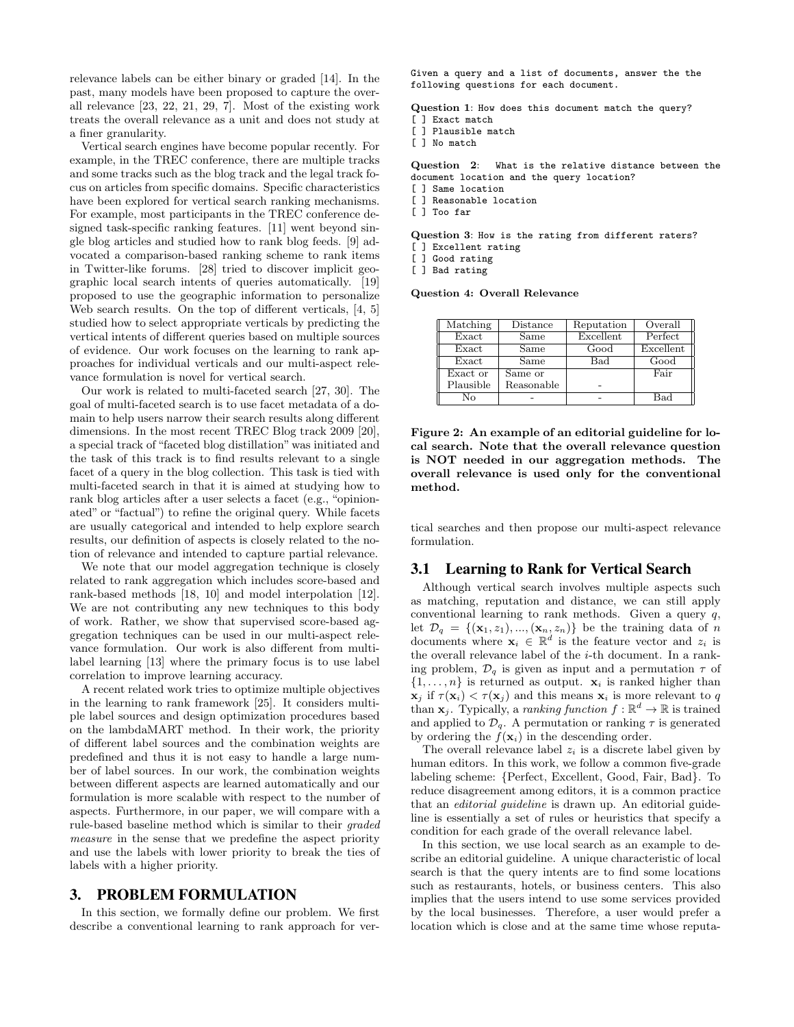relevance labels can be either binary or graded [14]. In the past, many models have been proposed to capture the overall relevance [23, 22, 21, 29, 7]. Most of the existing work treats the overall relevance as a unit and does not study at a finer granularity.

Vertical search engines have become popular recently. For example, in the TREC conference, there are multiple tracks and some tracks such as the blog track and the legal track focus on articles from specific domains. Specific characteristics have been explored for vertical search ranking mechanisms. For example, most participants in the TREC conference designed task-specific ranking features. [11] went beyond single blog articles and studied how to rank blog feeds. [9] advocated a comparison-based ranking scheme to rank items in Twitter-like forums. [28] tried to discover implicit geographic local search intents of queries automatically. [19] proposed to use the geographic information to personalize Web search results. On the top of different verticals, [4, 5] studied how to select appropriate verticals by predicting the vertical intents of different queries based on multiple sources of evidence. Our work focuses on the learning to rank approaches for individual verticals and our multi-aspect relevance formulation is novel for vertical search.

Our work is related to multi-faceted search [27, 30]. The goal of multi-faceted search is to use facet metadata of a domain to help users narrow their search results along different dimensions. In the most recent TREC Blog track 2009 [20], a special track of "faceted blog distillation" was initiated and the task of this track is to find results relevant to a single facet of a query in the blog collection. This task is tied with multi-faceted search in that it is aimed at studying how to rank blog articles after a user selects a facet (e.g., "opinionated" or "factual") to refine the original query. While facets are usually categorical and intended to help explore search results, our definition of aspects is closely related to the notion of relevance and intended to capture partial relevance.

We note that our model aggregation technique is closely related to rank aggregation which includes score-based and rank-based methods [18, 10] and model interpolation [12]. We are not contributing any new techniques to this body of work. Rather, we show that supervised score-based aggregation techniques can be used in our multi-aspect relevance formulation. Our work is also different from multilabel learning [13] where the primary focus is to use label correlation to improve learning accuracy.

A recent related work tries to optimize multiple objectives in the learning to rank framework [25]. It considers multiple label sources and design optimization procedures based on the lambdaMART method. In their work, the priority of different label sources and the combination weights are predefined and thus it is not easy to handle a large number of label sources. In our work, the combination weights between different aspects are learned automatically and our formulation is more scalable with respect to the number of aspects. Furthermore, in our paper, we will compare with a rule-based baseline method which is similar to their graded measure in the sense that we predefine the aspect priority and use the labels with lower priority to break the ties of labels with a higher priority.

# 3. PROBLEM FORMULATION

In this section, we formally define our problem. We first describe a conventional learning to rank approach for verGiven a query and a list of documents, answer the the following questions for each document.

Question 1: How does this document match the query? [ ] Exact match

- [ ] Plausible match
- [ ] No match

Question 2: What is the relative distance between the document location and the query location?

- [ ] Same location
- [ ] Reasonable location
- [ ] Too far

Question 3: How is the rating from different raters? [ ] Excellent rating

] Good rating

[ ] Bad rating

Question 4: Overall Relevance

| Matching  | Distance   | Reputation   | Overall      |
|-----------|------------|--------------|--------------|
| Exact     | Same       | Excellent    | Perfect      |
| Exact     | Same       | Good         | Excellent    |
| Exact     | Same       | $_{\rm Bad}$ | Good         |
| Exact or  | Same or    |              | Fair         |
| Plausible | Reasonable |              |              |
| Nο        |            |              | $_{\rm Bad}$ |

Figure 2: An example of an editorial guideline for local search. Note that the overall relevance question is NOT needed in our aggregation methods. The overall relevance is used only for the conventional method.

tical searches and then propose our multi-aspect relevance formulation.

## 3.1 Learning to Rank for Vertical Search

Although vertical search involves multiple aspects such as matching, reputation and distance, we can still apply conventional learning to rank methods. Given a query q, let  $\mathcal{D}_q = \{(\mathbf{x}_1, z_1), ..., (\mathbf{x}_n, z_n)\}\$ be the training data of n documents where  $\mathbf{x}_i \in \mathbb{R}^d$  is the feature vector and  $z_i$  is the overall relevance label of the  $i$ -th document. In a ranking problem,  $\mathcal{D}_q$  is given as input and a permutation  $\tau$  of  $\{1, \ldots, n\}$  is returned as output.  $\mathbf{x}_i$  is ranked higher than  $\mathbf{x}_j$  if  $\tau(\mathbf{x}_i) < \tau(\mathbf{x}_j)$  and this means  $\mathbf{x}_i$  is more relevant to q than  $\mathbf{x}_j$ . Typically, a ranking function  $f : \mathbb{R}^d \to \mathbb{R}$  is trained and applied to  $\mathcal{D}_q$ . A permutation or ranking  $\tau$  is generated by ordering the  $f(\mathbf{x}_i)$  in the descending order.

The overall relevance label  $z_i$  is a discrete label given by human editors. In this work, we follow a common five-grade labeling scheme: {Perfect, Excellent, Good, Fair, Bad}. To reduce disagreement among editors, it is a common practice that an editorial guideline is drawn up. An editorial guideline is essentially a set of rules or heuristics that specify a condition for each grade of the overall relevance label.

In this section, we use local search as an example to describe an editorial guideline. A unique characteristic of local search is that the query intents are to find some locations such as restaurants, hotels, or business centers. This also implies that the users intend to use some services provided by the local businesses. Therefore, a user would prefer a location which is close and at the same time whose reputa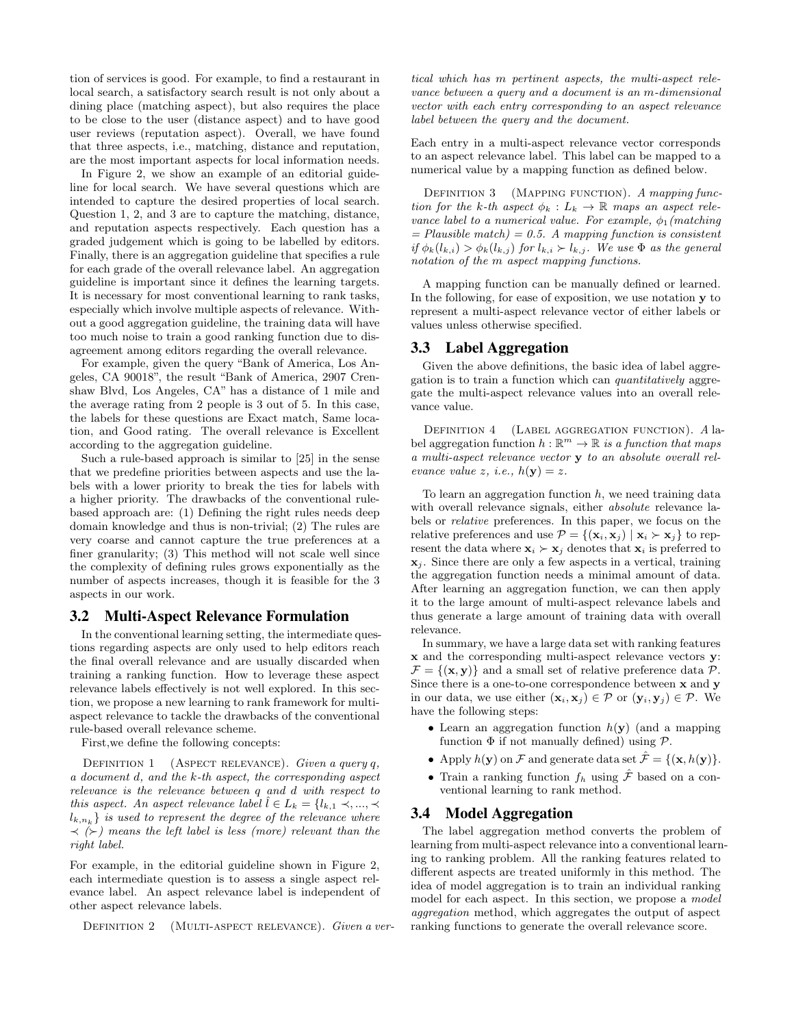tion of services is good. For example, to find a restaurant in local search, a satisfactory search result is not only about a dining place (matching aspect), but also requires the place to be close to the user (distance aspect) and to have good user reviews (reputation aspect). Overall, we have found that three aspects, i.e., matching, distance and reputation, are the most important aspects for local information needs.

In Figure 2, we show an example of an editorial guideline for local search. We have several questions which are intended to capture the desired properties of local search. Question 1, 2, and 3 are to capture the matching, distance, and reputation aspects respectively. Each question has a graded judgement which is going to be labelled by editors. Finally, there is an aggregation guideline that specifies a rule for each grade of the overall relevance label. An aggregation guideline is important since it defines the learning targets. It is necessary for most conventional learning to rank tasks, especially which involve multiple aspects of relevance. Without a good aggregation guideline, the training data will have too much noise to train a good ranking function due to disagreement among editors regarding the overall relevance.

For example, given the query "Bank of America, Los Angeles, CA 90018", the result "Bank of America, 2907 Crenshaw Blvd, Los Angeles, CA" has a distance of 1 mile and the average rating from 2 people is 3 out of 5. In this case, the labels for these questions are Exact match, Same location, and Good rating. The overall relevance is Excellent according to the aggregation guideline.

Such a rule-based approach is similar to [25] in the sense that we predefine priorities between aspects and use the labels with a lower priority to break the ties for labels with a higher priority. The drawbacks of the conventional rulebased approach are: (1) Defining the right rules needs deep domain knowledge and thus is non-trivial; (2) The rules are very coarse and cannot capture the true preferences at a finer granularity; (3) This method will not scale well since the complexity of defining rules grows exponentially as the number of aspects increases, though it is feasible for the 3 aspects in our work.

# 3.2 Multi-Aspect Relevance Formulation

In the conventional learning setting, the intermediate questions regarding aspects are only used to help editors reach the final overall relevance and are usually discarded when training a ranking function. How to leverage these aspect relevance labels effectively is not well explored. In this section, we propose a new learning to rank framework for multiaspect relevance to tackle the drawbacks of the conventional rule-based overall relevance scheme.

First,we define the following concepts:

DEFINITION 1 (ASPECT RELEVANCE). Given a query  $q$ , a document d, and the k-th aspect, the corresponding aspect relevance is the relevance between q and d with respect to this aspect. An aspect relevance label  $\hat{l} \in L_k = \{l_{k,1} \prec, ..., \prec$  $\{k,n_k\}$  is used to represent the degree of the relevance where  $\prec$  ( $\succ$ ) means the left label is less (more) relevant than the right label.

For example, in the editorial guideline shown in Figure 2, each intermediate question is to assess a single aspect relevance label. An aspect relevance label is independent of other aspect relevance labels.

DEFINITION 2 (MULTI-ASPECT RELEVANCE). Given a ver-

tical which has m pertinent aspects, the multi-aspect relevance between a query and a document is an m-dimensional vector with each entry corresponding to an aspect relevance label between the query and the document.

Each entry in a multi-aspect relevance vector corresponds to an aspect relevance label. This label can be mapped to a numerical value by a mapping function as defined below.

DEFINITION 3 (MAPPING FUNCTION). A mapping function for the k-th aspect  $\phi_k : L_k \to \mathbb{R}$  maps an aspect relevance label to a numerical value. For example,  $\phi_1$  (matching  $=$  Plausible match)  $=$  0.5. A mapping function is consistent if  $\phi_k(l_{k,i}) > \phi_k(l_{k,j})$  for  $l_{k,i} > l_{k,j}$ . We use  $\Phi$  as the general notation of the m aspect mapping functions.

A mapping function can be manually defined or learned. In the following, for ease of exposition, we use notation y to represent a multi-aspect relevance vector of either labels or values unless otherwise specified.

## 3.3 Label Aggregation

Given the above definitions, the basic idea of label aggregation is to train a function which can quantitatively aggregate the multi-aspect relevance values into an overall relevance value.

DEFINITION 4 (LABEL AGGREGATION FUNCTION). A label aggregation function  $h : \mathbb{R}^m \to \mathbb{R}$  is a function that maps a multi-aspect relevance vector y to an absolute overall relevance value z, i.e.,  $h(\mathbf{y}) = z$ .

To learn an aggregation function  $h$ , we need training data with overall relevance signals, either absolute relevance labels or relative preferences. In this paper, we focus on the relative preferences and use  $\mathcal{P} = \{(\mathbf{x}_i, \mathbf{x}_j) | \mathbf{x}_i \succ \mathbf{x}_j\}$  to represent the data where  $x_i \succ x_j$  denotes that  $x_i$  is preferred to  $x_i$ . Since there are only a few aspects in a vertical, training the aggregation function needs a minimal amount of data. After learning an aggregation function, we can then apply it to the large amount of multi-aspect relevance labels and thus generate a large amount of training data with overall relevance.

In summary, we have a large data set with ranking features x and the corresponding multi-aspect relevance vectors y:  $\mathcal{F} = \{(\mathbf{x}, \mathbf{y})\}$  and a small set of relative preference data  $\mathcal{P}$ . Since there is a one-to-one correspondence between x and y in our data, we use either  $(\mathbf{x}_i, \mathbf{x}_j) \in \mathcal{P}$  or  $(\mathbf{y}_i, \mathbf{y}_j) \in \mathcal{P}$ . We have the following steps:

- Learn an aggregation function  $h(\mathbf{y})$  (and a mapping function  $\Phi$  if not manually defined) using  $\mathcal P$ .
- Apply  $h(\mathbf{y})$  on F and generate data set  $\hat{\mathcal{F}} = \{(\mathbf{x}, h(\mathbf{y}))\}.$
- Train a ranking function  $f_h$  using  $\hat{\mathcal{F}}$  based on a conventional learning to rank method.

# 3.4 Model Aggregation

The label aggregation method converts the problem of learning from multi-aspect relevance into a conventional learning to ranking problem. All the ranking features related to different aspects are treated uniformly in this method. The idea of model aggregation is to train an individual ranking model for each aspect. In this section, we propose a model aggregation method, which aggregates the output of aspect ranking functions to generate the overall relevance score.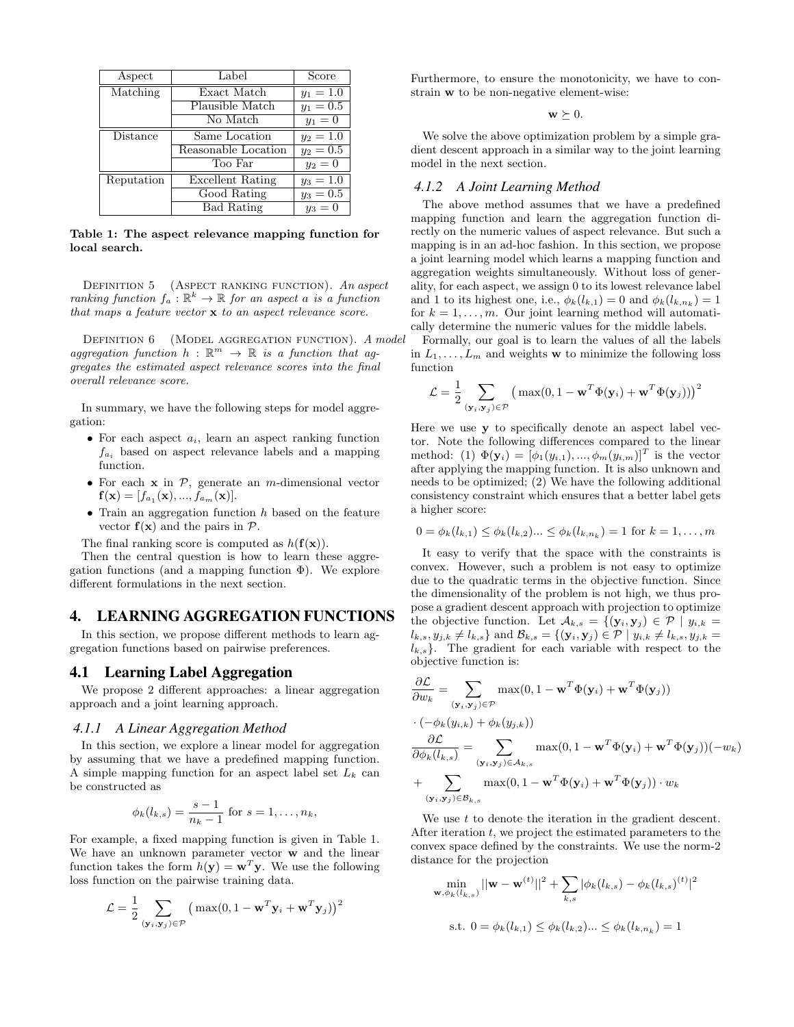| Aspect     | Label               | Score       |
|------------|---------------------|-------------|
| Matching   | Exact Match         | $y_1 = 1.0$ |
|            | Plausible Match     | $y_1 = 0.5$ |
|            | No Match            | $y_1 = 0$   |
| Distance   | Same Location       | $y_2 = 1.0$ |
|            | Reasonable Location | $y_2 = 0.5$ |
|            | Too Far             | $y_2=0$     |
| Reputation | Excellent Rating    | $y_3 = 1.0$ |
|            | Good Rating         | $y_3 = 0.5$ |
|            | <b>Bad Rating</b>   | $y_3=0$     |

Table 1: The aspect relevance mapping function for local search.

DEFINITION 5 (ASPECT RANKING FUNCTION). An aspect ranking function  $f_a : \mathbb{R}^k \to \mathbb{R}$  for an aspect a is a function that maps a feature vector x to an aspect relevance score.

DEFINITION 6 (MODEL AGGREGATION FUNCTION). A model aggregation function  $h : \mathbb{R}^m \to \mathbb{R}$  is a function that aggregates the estimated aspect relevance scores into the final overall relevance score.

In summary, we have the following steps for model aggregation:

- For each aspect  $a_i$ , learn an aspect ranking function  $f_{a_i}$  based on aspect relevance labels and a mapping function.
- For each  $x$  in  $P$ , generate an *m*-dimensional vector  $\mathbf{f}(\mathbf{x})=[f_{a_1}(\mathbf{x}),...,f_{a_m}(\mathbf{x})].$
- Train an aggregation function  $h$  based on the feature vector  $f(x)$  and the pairs in  $\mathcal{P}$ .

The final ranking score is computed as  $h(\mathbf{f}(\mathbf{x}))$ .

Then the central question is how to learn these aggregation functions (and a mapping function  $\Phi$ ). We explore different formulations in the next section.

# 4. LEARNING AGGREGATION FUNCTIONS

In this section, we propose different methods to learn aggregation functions based on pairwise preferences.

## 4.1 Learning Label Aggregation

We propose 2 different approaches: a linear aggregation approach and a joint learning approach.

## *4.1.1 A Linear Aggregation Method*

In this section, we explore a linear model for aggregation by assuming that we have a predefined mapping function. A simple mapping function for an aspect label set  $L_k$  can be constructed as

$$
\phi_k(l_{k,s}) = \frac{s-1}{n_k-1}
$$
 for  $s = 1, ..., n_k$ ,

For example, a fixed mapping function is given in Table 1. We have an unknown parameter vector w and the linear function takes the form  $h(\mathbf{y}) = \mathbf{w}^T \mathbf{y}$ . We use the following loss function on the pairwise training data.

$$
\mathcal{L} = \frac{1}{2} \sum_{(\mathbf{y}_i, \mathbf{y}_j) \in \mathcal{P}} \left( \max(0, 1 - \mathbf{w}^T \mathbf{y}_i + \mathbf{w}^T \mathbf{y}_j) \right)^2
$$

Furthermore, to ensure the monotonicity, we have to constrain w to be non-negative element-wise:

 $\mathbf{w} \succeq 0.$ 

We solve the above optimization problem by a simple gradient descent approach in a similar way to the joint learning model in the next section.

#### *4.1.2 A Joint Learning Method*

The above method assumes that we have a predefined mapping function and learn the aggregation function directly on the numeric values of aspect relevance. But such a mapping is in an ad-hoc fashion. In this section, we propose a joint learning model which learns a mapping function and aggregation weights simultaneously. Without loss of generality, for each aspect, we assign 0 to its lowest relevance label and 1 to its highest one, i.e.,  $\phi_k(l_{k,1}) = 0$  and  $\phi_k(l_{k,n_k}) = 1$ for  $k = 1, \ldots, m$ . Our joint learning method will automatically determine the numeric values for the middle labels.

Formally, our goal is to learn the values of all the labels in  $L_1, \ldots, L_m$  and weights **w** to minimize the following loss function

$$
\mathcal{L} = \frac{1}{2} \sum_{(\mathbf{y}_i, \mathbf{y}_j) \in \mathcal{P}} \left( \max(0, 1 - \mathbf{w}^T \Phi(\mathbf{y}_i) + \mathbf{w}^T \Phi(\mathbf{y}_j)) \right)^2
$$

Here we use y to specifically denote an aspect label vector. Note the following differences compared to the linear method: (1)  $\Phi(\mathbf{y}_i) = [\phi_1(y_{i,1}), ..., \phi_m(y_{i,m})]^T$  is the vector after applying the mapping function. It is also unknown and needs to be optimized; (2) We have the following additional consistency constraint which ensures that a better label gets a higher score:

$$
0 = \phi_k(l_{k,1}) \le \phi_k(l_{k,2}) \dots \le \phi_k(l_{k,n_k}) = 1 \text{ for } k = 1, \dots, m
$$

It easy to verify that the space with the constraints is convex. However, such a problem is not easy to optimize due to the quadratic terms in the objective function. Since the dimensionality of the problem is not high, we thus propose a gradient descent approach with projection to optimize the objective function. Let  $\mathcal{A}_{k,s} = \{(\mathbf{y}_i, \mathbf{y}_j) \in \mathcal{P} \mid y_{i,k} =$  $l_{k,s}, y_{j,k} \neq l_{k,s}$  and  $\mathcal{B}_{k,s} = \{ (\mathbf{y}_i, \mathbf{y}_j) \in \mathcal{P} \mid y_{i,k} \neq l_{k,s}, y_{j,k} =$  $l_{k,s}$ . The gradient for each variable with respect to the objective function is:

$$
\frac{\partial \mathcal{L}}{\partial w_k} = \sum_{(\mathbf{y}_i, \mathbf{y}_j) \in \mathcal{P}} \max(0, 1 - \mathbf{w}^T \Phi(\mathbf{y}_i) + \mathbf{w}^T \Phi(\mathbf{y}_j))
$$
  
\n
$$
\cdot (-\phi_k(y_{i,k}) + \phi_k(y_{j,k}))
$$
  
\n
$$
\frac{\partial \mathcal{L}}{\partial \phi_k(l_{k,s})} = \sum_{(\mathbf{y}_i, \mathbf{y}_j) \in \mathcal{A}_{k,s}} \max(0, 1 - \mathbf{w}^T \Phi(\mathbf{y}_i) + \mathbf{w}^T \Phi(\mathbf{y}_j))(-w_k)
$$
  
\n
$$
+ \sum_{(\mathbf{y}_i, \mathbf{y}_j) \in \mathcal{B}_{k,s}} \max(0, 1 - \mathbf{w}^T \Phi(\mathbf{y}_i) + \mathbf{w}^T \Phi(\mathbf{y}_j)) \cdot w_k
$$

We use  $t$  to denote the iteration in the gradient descent. After iteration  $t$ , we project the estimated parameters to the convex space defined by the constraints. We use the norm-2 distance for the projection

$$
\min_{\mathbf{w}, \phi_k(l_{k,s})} ||\mathbf{w} - \mathbf{w}^{(t)}||^2 + \sum_{k,s} |\phi_k(l_{k,s}) - \phi_k(l_{k,s})^{(t)}|^2
$$
  
s.t.  $0 = \phi_k(l_{k,1}) \le \phi_k(l_{k,2}) \dots \le \phi_k(l_{k,n_k}) = 1$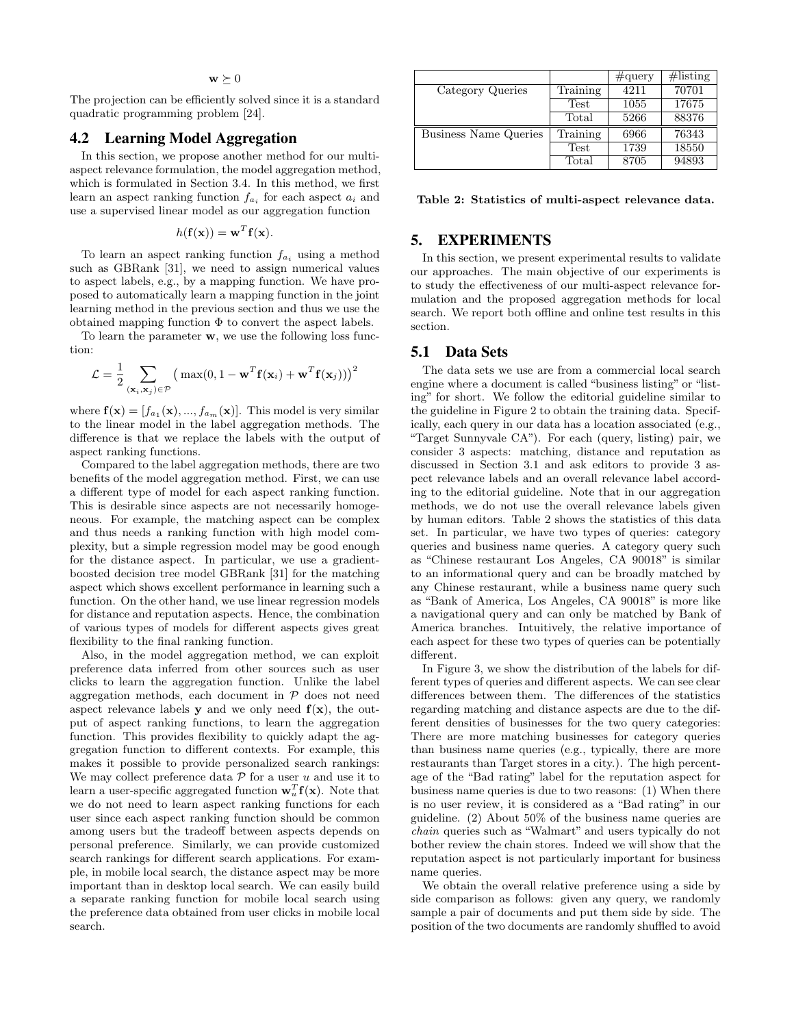# $\mathbf{w} \succeq 0$

The projection can be efficiently solved since it is a standard quadratic programming problem [24].

# 4.2 Learning Model Aggregation

In this section, we propose another method for our multiaspect relevance formulation, the model aggregation method, which is formulated in Section 3.4. In this method, we first learn an aspect ranking function  $f_{a_i}$  for each aspect  $a_i$  and use a supervised linear model as our aggregation function

$$
h(\mathbf{f}(\mathbf{x})) = \mathbf{w}^T \mathbf{f}(\mathbf{x}).
$$

To learn an aspect ranking function  $f_{a_i}$  using a method such as GBRank [31], we need to assign numerical values to aspect labels, e.g., by a mapping function. We have proposed to automatically learn a mapping function in the joint learning method in the previous section and thus we use the obtained mapping function  $\Phi$  to convert the aspect labels.

To learn the parameter **w**, we use the following loss function:

$$
\mathcal{L} = \frac{1}{2} \sum_{(\mathbf{x}_i, \mathbf{x}_j) \in \mathcal{P}} \left( \max(0, 1 - \mathbf{w}^T \mathbf{f}(\mathbf{x}_i) + \mathbf{w}^T \mathbf{f}(\mathbf{x}_j)) \right)^2
$$

where  $\mathbf{f}(\mathbf{x}) = [f_{a_1}(\mathbf{x}), ..., f_{a_m}(\mathbf{x})]$ . This model is very similar to the linear model in the label aggregation methods. The difference is that we replace the labels with the output of aspect ranking functions.

Compared to the label aggregation methods, there are two benefits of the model aggregation method. First, we can use a different type of model for each aspect ranking function. This is desirable since aspects are not necessarily homogeneous. For example, the matching aspect can be complex and thus needs a ranking function with high model complexity, but a simple regression model may be good enough for the distance aspect. In particular, we use a gradientboosted decision tree model GBRank [31] for the matching aspect which shows excellent performance in learning such a function. On the other hand, we use linear regression models for distance and reputation aspects. Hence, the combination of various types of models for different aspects gives great flexibility to the final ranking function.

Also, in the model aggregation method, we can exploit preference data inferred from other sources such as user clicks to learn the aggregation function. Unlike the label aggregation methods, each document in  $P$  does not need aspect relevance labels **y** and we only need  $f(x)$ , the output of aspect ranking functions, to learn the aggregation function. This provides flexibility to quickly adapt the aggregation function to different contexts. For example, this makes it possible to provide personalized search rankings: We may collect preference data  $P$  for a user u and use it to learn a user-specific aggregated function  $\mathbf{w}_u^T \mathbf{f}(\mathbf{x})$ . Note that we do not need to learn aspect ranking functions for each user since each aspect ranking function should be common among users but the tradeoff between aspects depends on personal preference. Similarly, we can provide customized search rankings for different search applications. For example, in mobile local search, the distance aspect may be more important than in desktop local search. We can easily build a separate ranking function for mobile local search using the preference data obtained from user clicks in mobile local search.

|                              |             | $\#\text{query}$ | $\#$ listing |
|------------------------------|-------------|------------------|--------------|
| Category Queries             | Training    | 4211             | 70701        |
|                              | Test        | 1055             | 17675        |
|                              | Total       | 5266             | 88376        |
| <b>Business Name Queries</b> | Training    | 6966             | 76343        |
|                              | <b>Test</b> | 1739             | 18550        |
|                              | Total       | 8705             | 94893        |

Table 2: Statistics of multi-aspect relevance data.

# 5. EXPERIMENTS

In this section, we present experimental results to validate our approaches. The main objective of our experiments is to study the effectiveness of our multi-aspect relevance formulation and the proposed aggregation methods for local search. We report both offline and online test results in this section.

## 5.1 Data Sets

The data sets we use are from a commercial local search engine where a document is called "business listing" or "listing" for short. We follow the editorial guideline similar to the guideline in Figure 2 to obtain the training data. Specifically, each query in our data has a location associated (e.g., "Target Sunnyvale CA"). For each (query, listing) pair, we consider 3 aspects: matching, distance and reputation as discussed in Section 3.1 and ask editors to provide 3 aspect relevance labels and an overall relevance label according to the editorial guideline. Note that in our aggregation methods, we do not use the overall relevance labels given by human editors. Table 2 shows the statistics of this data set. In particular, we have two types of queries: category queries and business name queries. A category query such as "Chinese restaurant Los Angeles, CA 90018" is similar to an informational query and can be broadly matched by any Chinese restaurant, while a business name query such as "Bank of America, Los Angeles, CA 90018" is more like a navigational query and can only be matched by Bank of America branches. Intuitively, the relative importance of each aspect for these two types of queries can be potentially different.

In Figure 3, we show the distribution of the labels for different types of queries and different aspects. We can see clear differences between them. The differences of the statistics regarding matching and distance aspects are due to the different densities of businesses for the two query categories: There are more matching businesses for category queries than business name queries (e.g., typically, there are more restaurants than Target stores in a city.). The high percentage of the "Bad rating" label for the reputation aspect for business name queries is due to two reasons: (1) When there is no user review, it is considered as a "Bad rating" in our guideline. (2) About 50% of the business name queries are chain queries such as "Walmart" and users typically do not bother review the chain stores. Indeed we will show that the reputation aspect is not particularly important for business name queries.

We obtain the overall relative preference using a side by side comparison as follows: given any query, we randomly sample a pair of documents and put them side by side. The position of the two documents are randomly shuffled to avoid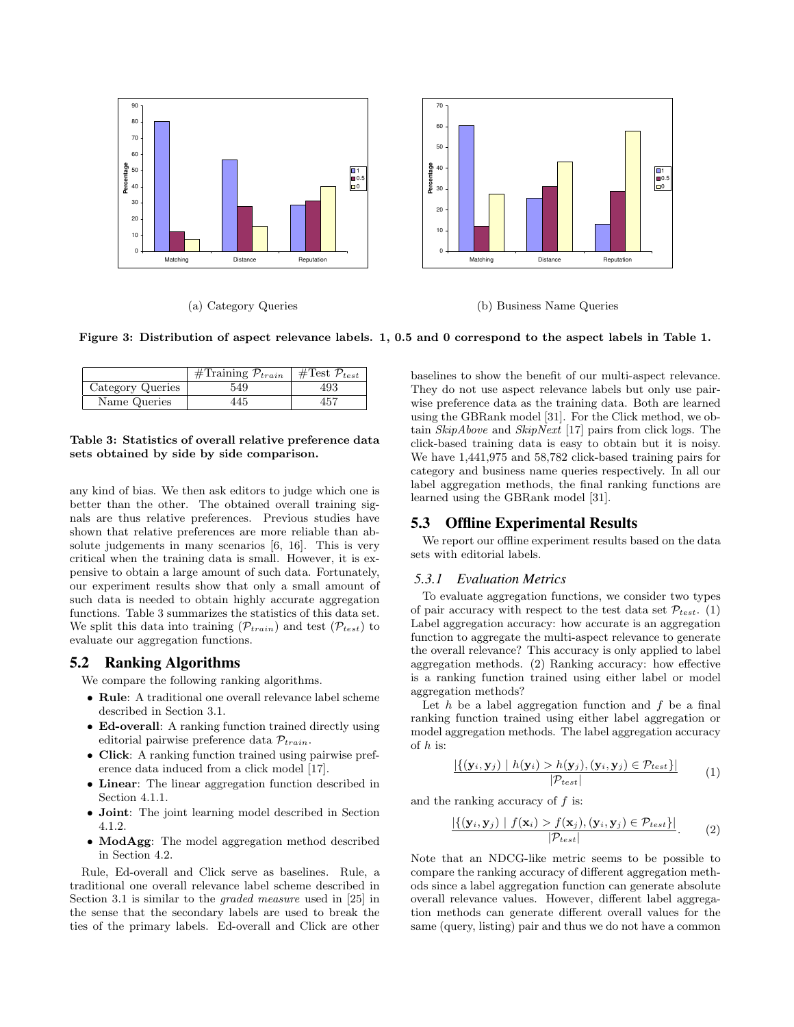

(a) Category Queries

(b) Business Name Queries

Figure 3: Distribution of aspect relevance labels. 1, 0.5 and 0 correspond to the aspect labels in Table 1.

|                  | $\overline{\text{\#Training}}$ $\mathcal{P}_{train}$ | #Test $\mathcal{P}_{test}$ |
|------------------|------------------------------------------------------|----------------------------|
| Category Queries | 549                                                  | 493                        |
| Name Queries     | 445                                                  | 457                        |

#### Table 3: Statistics of overall relative preference data sets obtained by side by side comparison.

any kind of bias. We then ask editors to judge which one is better than the other. The obtained overall training signals are thus relative preferences. Previous studies have shown that relative preferences are more reliable than absolute judgements in many scenarios [6, 16]. This is very critical when the training data is small. However, it is expensive to obtain a large amount of such data. Fortunately, our experiment results show that only a small amount of such data is needed to obtain highly accurate aggregation functions. Table 3 summarizes the statistics of this data set. We split this data into training  $(\mathcal{P}_{train})$  and test  $(\mathcal{P}_{test})$  to evaluate our aggregation functions.

# 5.2 Ranking Algorithms

We compare the following ranking algorithms.

- Rule: A traditional one overall relevance label scheme described in Section 3.1.
- Ed-overall: A ranking function trained directly using editorial pairwise preference data  $\mathcal{P}_{train}$ .
- Click: A ranking function trained using pairwise preference data induced from a click model [17].
- Linear: The linear aggregation function described in Section 4.1.1.
- Joint: The joint learning model described in Section 4.1.2.
- ModAgg: The model aggregation method described in Section 4.2.

Rule, Ed-overall and Click serve as baselines. Rule, a traditional one overall relevance label scheme described in Section 3.1 is similar to the graded measure used in [25] in the sense that the secondary labels are used to break the ties of the primary labels. Ed-overall and Click are other baselines to show the benefit of our multi-aspect relevance. They do not use aspect relevance labels but only use pairwise preference data as the training data. Both are learned using the GBRank model [31]. For the Click method, we obtain SkipAbove and SkipNext [17] pairs from click logs. The click-based training data is easy to obtain but it is noisy. We have 1,441,975 and 58,782 click-based training pairs for category and business name queries respectively. In all our label aggregation methods, the final ranking functions are learned using the GBRank model [31].

# 5.3 Offline Experimental Results

We report our offline experiment results based on the data sets with editorial labels.

## *5.3.1 Evaluation Metrics*

To evaluate aggregation functions, we consider two types of pair accuracy with respect to the test data set  $\mathcal{P}_{test}$ . (1) Label aggregation accuracy: how accurate is an aggregation function to aggregate the multi-aspect relevance to generate the overall relevance? This accuracy is only applied to label aggregation methods. (2) Ranking accuracy: how effective is a ranking function trained using either label or model aggregation methods?

Let  $h$  be a label aggregation function and  $f$  be a final ranking function trained using either label aggregation or model aggregation methods. The label aggregation accuracy of  $h$  is:

$$
\frac{|\{(\mathbf{y}_i, \mathbf{y}_j) \mid h(\mathbf{y}_i) > h(\mathbf{y}_j), (\mathbf{y}_i, \mathbf{y}_j) \in \mathcal{P}_{test}\}|}{|\mathcal{P}_{test}|} \tag{1}
$$

and the ranking accuracy of f is:

$$
\frac{|\{(\mathbf{y}_i, \mathbf{y}_j) \mid f(\mathbf{x}_i) > f(\mathbf{x}_j), (\mathbf{y}_i, \mathbf{y}_j) \in \mathcal{P}_{test}\}|}{|\mathcal{P}_{test}|}.
$$
 (2)

Note that an NDCG-like metric seems to be possible to compare the ranking accuracy of different aggregation methods since a label aggregation function can generate absolute overall relevance values. However, different label aggregation methods can generate different overall values for the same (query, listing) pair and thus we do not have a common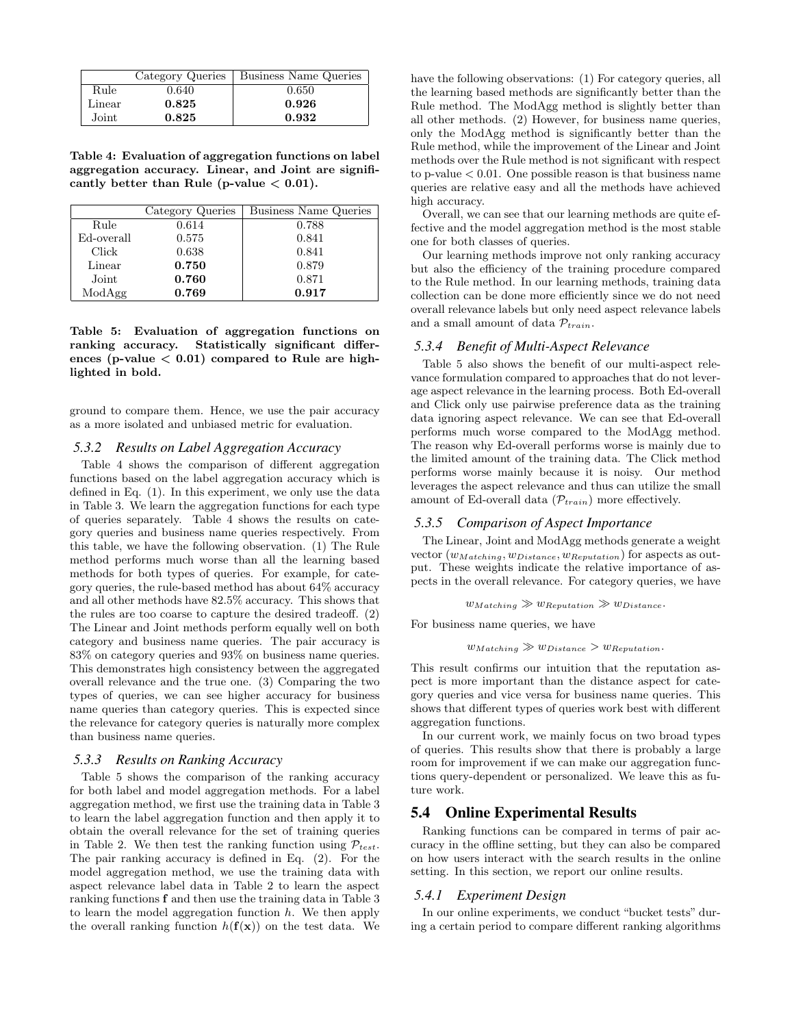|        |       | Category Queries   Business Name Queries |
|--------|-------|------------------------------------------|
| Rule   | 0.640 | 0.650                                    |
| Linear | 0.825 | 0.926                                    |
| Joint  | 0.825 | 0.932                                    |

Table 4: Evaluation of aggregation functions on label aggregation accuracy. Linear, and Joint are significantly better than Rule (p-value  $< 0.01$ ).

|            | Category Queries | Business Name Queries |
|------------|------------------|-----------------------|
| Rule       | 0.614            | 0.788                 |
| Ed-overall | 0.575            | 0.841                 |
| Click      | 0.638            | 0.841                 |
| Linear     | 0.750            | 0.879                 |
| Joint      | 0.760            | 0.871                 |
| ModAgg     | 0.769            | 0.917                 |

Table 5: Evaluation of aggregation functions on ranking accuracy. Statistically significant differences (p-value  $< 0.01$ ) compared to Rule are highlighted in bold.

ground to compare them. Hence, we use the pair accuracy as a more isolated and unbiased metric for evaluation.

## *5.3.2 Results on Label Aggregation Accuracy*

Table 4 shows the comparison of different aggregation functions based on the label aggregation accuracy which is defined in Eq. (1). In this experiment, we only use the data in Table 3. We learn the aggregation functions for each type of queries separately. Table 4 shows the results on category queries and business name queries respectively. From this table, we have the following observation. (1) The Rule method performs much worse than all the learning based methods for both types of queries. For example, for category queries, the rule-based method has about 64% accuracy and all other methods have 82.5% accuracy. This shows that the rules are too coarse to capture the desired tradeoff. (2) The Linear and Joint methods perform equally well on both category and business name queries. The pair accuracy is 83% on category queries and 93% on business name queries. This demonstrates high consistency between the aggregated overall relevance and the true one. (3) Comparing the two types of queries, we can see higher accuracy for business name queries than category queries. This is expected since the relevance for category queries is naturally more complex than business name queries.

#### *5.3.3 Results on Ranking Accuracy*

Table 5 shows the comparison of the ranking accuracy for both label and model aggregation methods. For a label aggregation method, we first use the training data in Table 3 to learn the label aggregation function and then apply it to obtain the overall relevance for the set of training queries in Table 2. We then test the ranking function using  $\mathcal{P}_{test}$ . The pair ranking accuracy is defined in Eq. (2). For the model aggregation method, we use the training data with aspect relevance label data in Table 2 to learn the aspect ranking functions f and then use the training data in Table 3 to learn the model aggregation function  $h$ . We then apply the overall ranking function  $h(\mathbf{f}(\mathbf{x}))$  on the test data. We have the following observations: (1) For category queries, all the learning based methods are significantly better than the Rule method. The ModAgg method is slightly better than all other methods. (2) However, for business name queries, only the ModAgg method is significantly better than the Rule method, while the improvement of the Linear and Joint methods over the Rule method is not significant with respect to p-value  $< 0.01$ . One possible reason is that business name queries are relative easy and all the methods have achieved high accuracy.

Overall, we can see that our learning methods are quite effective and the model aggregation method is the most stable one for both classes of queries.

Our learning methods improve not only ranking accuracy but also the efficiency of the training procedure compared to the Rule method. In our learning methods, training data collection can be done more efficiently since we do not need overall relevance labels but only need aspect relevance labels and a small amount of data  $\mathcal{P}_{train}$ .

## *5.3.4 Benefit of Multi-Aspect Relevance*

Table 5 also shows the benefit of our multi-aspect relevance formulation compared to approaches that do not leverage aspect relevance in the learning process. Both Ed-overall and Click only use pairwise preference data as the training data ignoring aspect relevance. We can see that Ed-overall performs much worse compared to the ModAgg method. The reason why Ed-overall performs worse is mainly due to the limited amount of the training data. The Click method performs worse mainly because it is noisy. Our method leverages the aspect relevance and thus can utilize the small amount of Ed-overall data  $(\mathcal{P}_{train})$  more effectively.

## *5.3.5 Comparison of Aspect Importance*

The Linear, Joint and ModAgg methods generate a weight vector  $(w_{Matching}, w_{Distance}, w_{Reputation})$  for aspects as output. These weights indicate the relative importance of aspects in the overall relevance. For category queries, we have

$$
w_{Matching} \gg w_{Reputation} \gg w_{Distance}.
$$

For business name queries, we have

 $w_{Matching} \gg w_{Distance} > w_{Reputation}$ .

This result confirms our intuition that the reputation aspect is more important than the distance aspect for category queries and vice versa for business name queries. This shows that different types of queries work best with different aggregation functions.

In our current work, we mainly focus on two broad types of queries. This results show that there is probably a large room for improvement if we can make our aggregation functions query-dependent or personalized. We leave this as future work.

## 5.4 Online Experimental Results

Ranking functions can be compared in terms of pair accuracy in the offline setting, but they can also be compared on how users interact with the search results in the online setting. In this section, we report our online results.

## *5.4.1 Experiment Design*

In our online experiments, we conduct "bucket tests" during a certain period to compare different ranking algorithms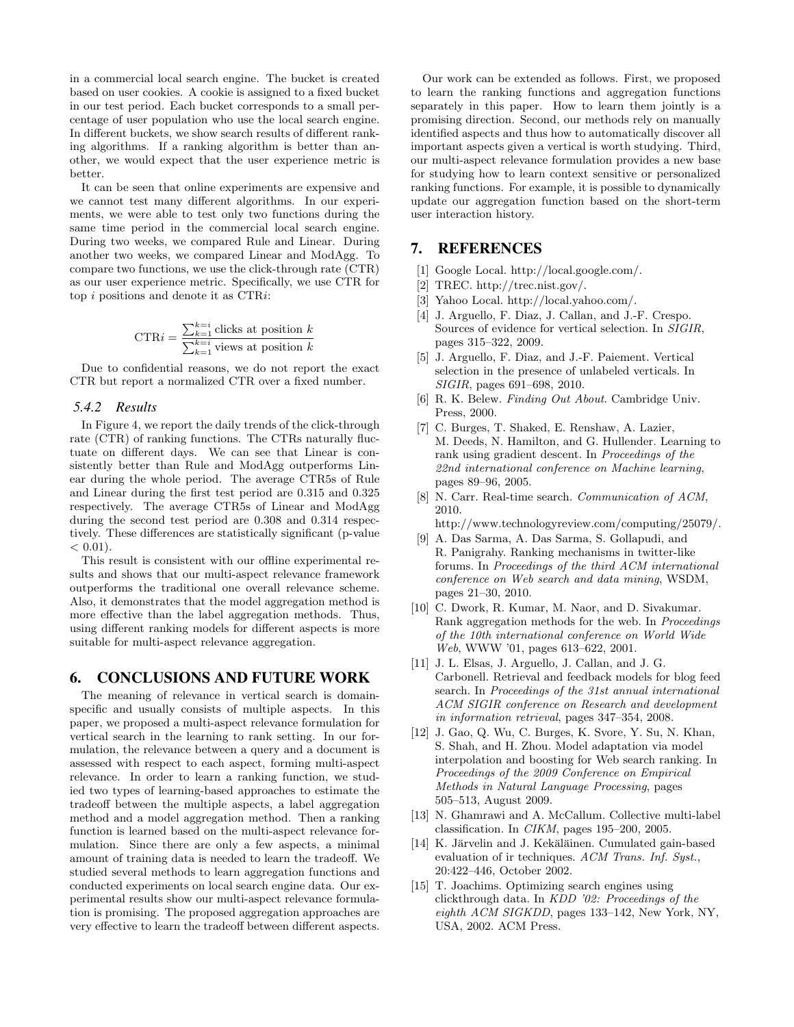in a commercial local search engine. The bucket is created based on user cookies. A cookie is assigned to a fixed bucket in our test period. Each bucket corresponds to a small percentage of user population who use the local search engine. In different buckets, we show search results of different ranking algorithms. If a ranking algorithm is better than another, we would expect that the user experience metric is better.

It can be seen that online experiments are expensive and we cannot test many different algorithms. In our experiments, we were able to test only two functions during the same time period in the commercial local search engine. During two weeks, we compared Rule and Linear. During another two weeks, we compared Linear and ModAgg. To compare two functions, we use the click-through rate (CTR) as our user experience metric. Specifically, we use CTR for top i positions and denote it as CTRi:

$$
CTRi = \frac{\sum_{k=1}^{k=i} \text{clicks at position } k}{\sum_{k=1}^{k=i} \text{ views at position } k}
$$

Due to confidential reasons, we do not report the exact CTR but report a normalized CTR over a fixed number.

## *5.4.2 Results*

In Figure 4, we report the daily trends of the click-through rate (CTR) of ranking functions. The CTRs naturally fluctuate on different days. We can see that Linear is consistently better than Rule and ModAgg outperforms Linear during the whole period. The average CTR5s of Rule and Linear during the first test period are 0.315 and 0.325 respectively. The average CTR5s of Linear and ModAgg during the second test period are 0.308 and 0.314 respectively. These differences are statistically significant (p-value  $< 0.01$ ).

This result is consistent with our offline experimental results and shows that our multi-aspect relevance framework outperforms the traditional one overall relevance scheme. Also, it demonstrates that the model aggregation method is more effective than the label aggregation methods. Thus, using different ranking models for different aspects is more suitable for multi-aspect relevance aggregation.

## 6. CONCLUSIONS AND FUTURE WORK

The meaning of relevance in vertical search is domainspecific and usually consists of multiple aspects. In this paper, we proposed a multi-aspect relevance formulation for vertical search in the learning to rank setting. In our formulation, the relevance between a query and a document is assessed with respect to each aspect, forming multi-aspect relevance. In order to learn a ranking function, we studied two types of learning-based approaches to estimate the tradeoff between the multiple aspects, a label aggregation method and a model aggregation method. Then a ranking function is learned based on the multi-aspect relevance formulation. Since there are only a few aspects, a minimal amount of training data is needed to learn the tradeoff. We studied several methods to learn aggregation functions and conducted experiments on local search engine data. Our experimental results show our multi-aspect relevance formulation is promising. The proposed aggregation approaches are very effective to learn the tradeoff between different aspects.

Our work can be extended as follows. First, we proposed to learn the ranking functions and aggregation functions separately in this paper. How to learn them jointly is a promising direction. Second, our methods rely on manually identified aspects and thus how to automatically discover all important aspects given a vertical is worth studying. Third, our multi-aspect relevance formulation provides a new base for studying how to learn context sensitive or personalized ranking functions. For example, it is possible to dynamically update our aggregation function based on the short-term user interaction history.

# 7. REFERENCES

- [1] Google Local. http://local.google.com/.
- [2] TREC. http://trec.nist.gov/.
- [3] Yahoo Local. http://local.yahoo.com/.
- [4] J. Arguello, F. Diaz, J. Callan, and J.-F. Crespo. Sources of evidence for vertical selection. In SIGIR, pages 315–322, 2009.
- [5] J. Arguello, F. Diaz, and J.-F. Paiement. Vertical selection in the presence of unlabeled verticals. In SIGIR, pages 691–698, 2010.
- [6] R. K. Belew. Finding Out About. Cambridge Univ. Press, 2000.
- [7] C. Burges, T. Shaked, E. Renshaw, A. Lazier, M. Deeds, N. Hamilton, and G. Hullender. Learning to rank using gradient descent. In Proceedings of the 22nd international conference on Machine learning, pages 89–96, 2005.
- [8] N. Carr. Real-time search. Communication of ACM, 2010.

http://www.technologyreview.com/computing/25079/.

- [9] A. Das Sarma, A. Das Sarma, S. Gollapudi, and R. Panigrahy. Ranking mechanisms in twitter-like forums. In Proceedings of the third ACM international conference on Web search and data mining, WSDM, pages 21–30, 2010.
- [10] C. Dwork, R. Kumar, M. Naor, and D. Sivakumar. Rank aggregation methods for the web. In Proceedings of the 10th international conference on World Wide Web, WWW '01, pages 613–622, 2001.
- [11] J. L. Elsas, J. Arguello, J. Callan, and J. G. Carbonell. Retrieval and feedback models for blog feed search. In Proceedings of the 31st annual international ACM SIGIR conference on Research and development in information retrieval, pages 347–354, 2008.
- [12] J. Gao, Q. Wu, C. Burges, K. Svore, Y. Su, N. Khan, S. Shah, and H. Zhou. Model adaptation via model interpolation and boosting for Web search ranking. In Proceedings of the 2009 Conference on Empirical Methods in Natural Language Processing, pages 505–513, August 2009.
- [13] N. Ghamrawi and A. McCallum. Collective multi-label classification. In CIKM, pages 195–200, 2005.
- [14] K. Järvelin and J. Kekäläinen. Cumulated gain-based evaluation of ir techniques. ACM Trans. Inf. Syst., 20:422–446, October 2002.
- [15] T. Joachims. Optimizing search engines using clickthrough data. In KDD '02: Proceedings of the eighth ACM SIGKDD, pages 133–142, New York, NY, USA, 2002. ACM Press.